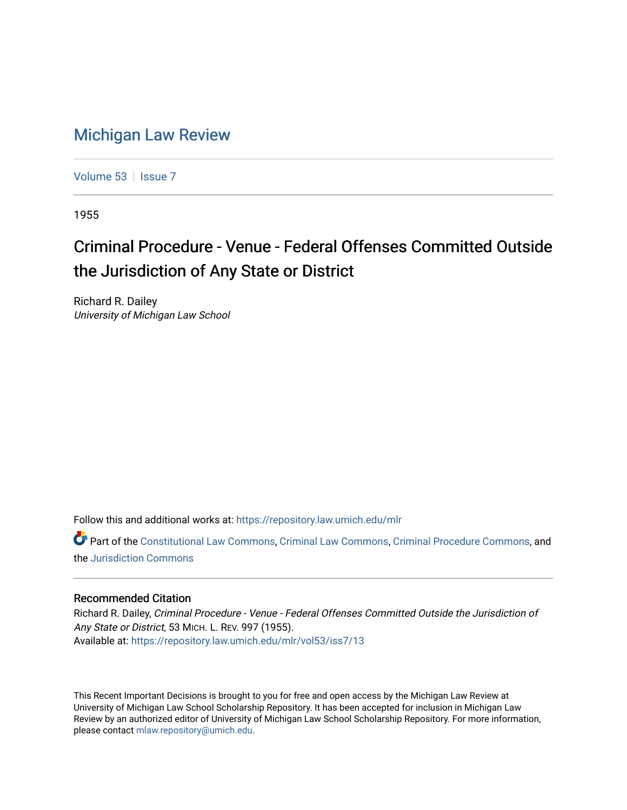## [Michigan Law Review](https://repository.law.umich.edu/mlr)

[Volume 53](https://repository.law.umich.edu/mlr/vol53) | [Issue 7](https://repository.law.umich.edu/mlr/vol53/iss7)

1955

## Criminal Procedure - Venue - Federal Offenses Committed Outside the Jurisdiction of Any State or District

Richard R. Dailey University of Michigan Law School

Follow this and additional works at: [https://repository.law.umich.edu/mlr](https://repository.law.umich.edu/mlr?utm_source=repository.law.umich.edu%2Fmlr%2Fvol53%2Fiss7%2F13&utm_medium=PDF&utm_campaign=PDFCoverPages) 

Part of the [Constitutional Law Commons,](http://network.bepress.com/hgg/discipline/589?utm_source=repository.law.umich.edu%2Fmlr%2Fvol53%2Fiss7%2F13&utm_medium=PDF&utm_campaign=PDFCoverPages) [Criminal Law Commons,](http://network.bepress.com/hgg/discipline/912?utm_source=repository.law.umich.edu%2Fmlr%2Fvol53%2Fiss7%2F13&utm_medium=PDF&utm_campaign=PDFCoverPages) [Criminal Procedure Commons](http://network.bepress.com/hgg/discipline/1073?utm_source=repository.law.umich.edu%2Fmlr%2Fvol53%2Fiss7%2F13&utm_medium=PDF&utm_campaign=PDFCoverPages), and the [Jurisdiction Commons](http://network.bepress.com/hgg/discipline/850?utm_source=repository.law.umich.edu%2Fmlr%2Fvol53%2Fiss7%2F13&utm_medium=PDF&utm_campaign=PDFCoverPages)

## Recommended Citation

Richard R. Dailey, Criminal Procedure - Venue - Federal Offenses Committed Outside the Jurisdiction of Any State or District, 53 MICH. L. REV. 997 (1955). Available at: [https://repository.law.umich.edu/mlr/vol53/iss7/13](https://repository.law.umich.edu/mlr/vol53/iss7/13?utm_source=repository.law.umich.edu%2Fmlr%2Fvol53%2Fiss7%2F13&utm_medium=PDF&utm_campaign=PDFCoverPages) 

This Recent Important Decisions is brought to you for free and open access by the Michigan Law Review at University of Michigan Law School Scholarship Repository. It has been accepted for inclusion in Michigan Law Review by an authorized editor of University of Michigan Law School Scholarship Repository. For more information, please contact [mlaw.repository@umich.edu.](mailto:mlaw.repository@umich.edu)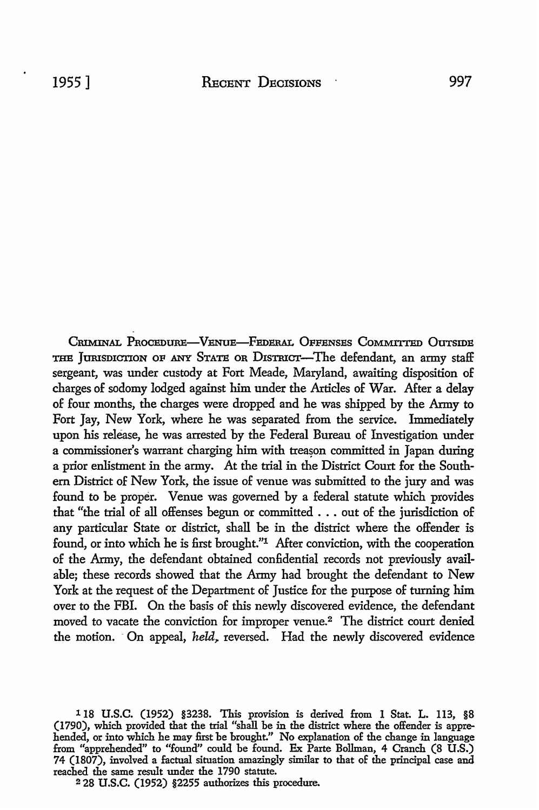CRIMINAL PROCEDURE-VENUE-FEDERAL OFFENSES COMMITTED OUTSIDE THE JURISDICTION OF ANY STATE OR DISTRICT-The defendant, an army staff sergeant, was under custody at Fort Meade, Maryland, awaiting disposition of charges of sodomy lodged against him under the Articles of War. After a delay of four months, the charges were dropped and he was shipped by the Army to Fort Jay, New York, where he was separated from the service. Immediately upon his release, he was arrested by the Federal Bureau of Investigation under a commissioner's warrant charging him with treason committed in Japan during a prior enlistment in the army. At the trial in the District Court for the Southern District of New York, the issue of venue was submitted to the jury and was found to be proper. Venue was governed by a federal statute which provides that "the trial of all offenses begun or committed . . . out of the jurisdiction of any particular State or district, shall be in the district where the offender is found, or into which he is first brought."<sup>1</sup> After conviction, with the cooperation of the Army, the defendant obtained confidential records not previously available; these records showed that the Army had brought the defendant to New York at the request of the Department of Justice for the purpose of turning him over to the FBI. On the basis of this newly discovered evidence, the defendant moved to vacate the conviction for improper venue.<sup>2</sup> The district court denied the motion. On appeal, *held*, reversed. Had the newly discovered evidence

2 28 U.S.C. (1952) §2255 authorizes this procedure.

<sup>118</sup> U.S.C. (1952) §3238. This provision is derived from 1 Stat. L. 113, §8 (1790), which provided that the trial "shall be in the district where the offender is apprehended, or into which he may first be brought." No explanation of the change in language from "apprehended" to "found" could be found. Ex Parte Bollman, 4 Cranch (8 U.S.) 74 (1807), involved a factual situation amazingly similar to that of the principal case and reached the same result under the 1790 statute.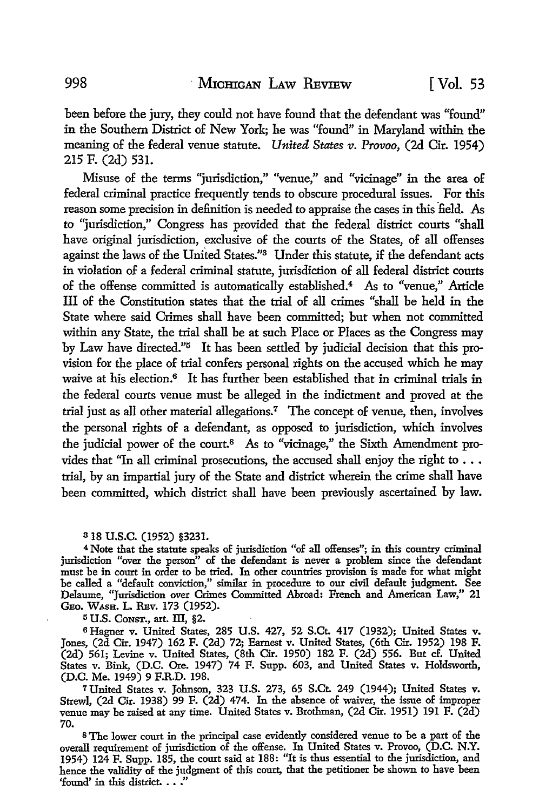been before the jury, they could not have found that the defendant was "found" in the Southern District of New York; he was "found" in Maryland within the meaning of the federal venue statute. *United States v. Provoo,* (2d Cir. 1954) 215 F. (2d) 531.

Misuse of the terms "jurisdiction," "venue,'' and "vicinage" in the area of federal criminal practice frequently tends to obscure procedural issues. For this reason some precision in definition is needed to appraise the cases in this field. As to "jurisdiction," Congress has provided that the federal district courts "shall have original jurisdiction, exclusive of the courts of the States, of all offenses against the laws of the United States."3 Under this statute, if the defendant acts in violation of a federal criminal statute, jurisdiction of all federal district courts of the offense committed is automatically established.4 As to "venue,'' Article III of the Constitution states that the trial of all crimes "shall be held in the State where said Crimes shall have been committed; but when not committed within any State, the trial shall be at such Place or Places as the Congress may by Law have directed."5 It has been settled by judicial decision that this provision for the place of trial confers personal rights on the accused which he may waive at his election.<sup>6</sup> It has further been established that in criminal trials in the federal courts venue must be alleged in the indictment and proved at the trial just as all other material allegations.7 The concept of venue, then, involves the personal rights of a defendant, as opposed to jurisdiction, which involves the judicial power of the court.<sup>8</sup> As to "vicinage," the Sixth Amendment provides that "In all criminal prosecutions, the accused shall enjoy the right to  $\ldots$ trial, by an impartial jury of the State and district wherein the crime shall have been committed, which district shall have been previously ascertained by law.

3 18 u.s.c. (1952) §3231.

<sup>4</sup>Note that the statute speaks of jurisdiction "of all offenses"; in this country criminal jurisdiction "over the person" of the defendant is never a problem since the defendant must be in court in order to be tried. In other countries provision is made for what might be called a "default conviction," similar in procedure to our civil default judgment. See Delaume, "Jurisdiction over Crimes Committed Abroad: French and American Law," 21 GEo. WASH. L. REv. 173 (1952).

 $5$  U.S. CONST., art. III, §2.

<sup>6</sup> Hagner v. United States, 285 U.S. 427, 52 S.Ct. 417 (1932); United States v. Jones, (2d Cir. 1947) 162 F. (2d) 72; Earnest v. United States, (6th Cir. 1952) 198 F. (2d) 561; Levine v. United States, (8th Cir. 1950) 182 F. (2d) 556. But cf. United States v. Bink, (D.C. Ore. 1947) 74 F. Supp. 603, and United States v. Holdsworth, (D.C. Me. 1949) 9 F.R.D. 198.

*1* United States v. Johnson, 323 U.S. 273, 65 S.Ct. 249 (1944); United States v. Strew!, (2d Cir. 1938) 99 F. (2d) 474. In the absence of waiver, the issue of improper venue may be raised at any time. United States v. Brothman, (2d Cir. 1951) 191 F. (2d) 70.

s The lower court in the principal case evidently considered venue to be a part of the overall requirement of jurisdiction of the offense. In United States v. Provoo, (D.C. N.Y. 1954) 124 F. Supp. 185, the court said at 188: "It is thus essential to the jurisdiction, and hence the validity of the judgment of this court, that the petitioner be shown to have been 'found' in this district. . . ."